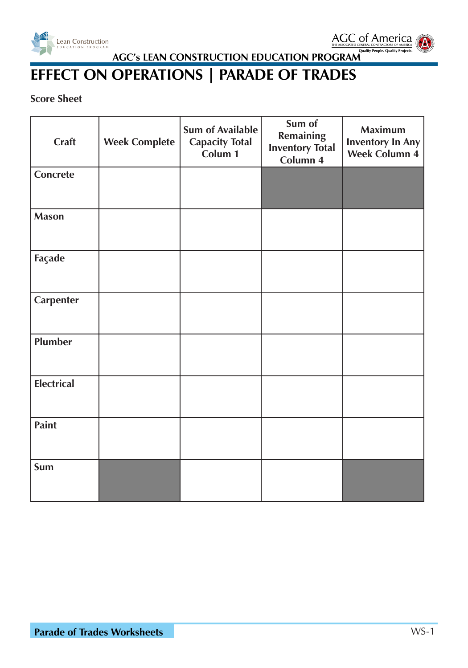



# **EFFECT ON OPERATIONS | PARADE OF TRADES**

#### **Score Sheet**

| Craft             | <b>Week Complete</b> | <b>Sum of Available</b><br><b>Capacity Total</b><br>Colum 1 | Sum of<br><b>Remaining</b><br><b>Inventory Total</b><br>Column 4 | <b>Maximum</b><br><b>Inventory In Any</b><br><b>Week Column 4</b> |
|-------------------|----------------------|-------------------------------------------------------------|------------------------------------------------------------------|-------------------------------------------------------------------|
| Concrete          |                      |                                                             |                                                                  |                                                                   |
| <b>Mason</b>      |                      |                                                             |                                                                  |                                                                   |
| Façade            |                      |                                                             |                                                                  |                                                                   |
| <b>Carpenter</b>  |                      |                                                             |                                                                  |                                                                   |
| Plumber           |                      |                                                             |                                                                  |                                                                   |
| <b>Electrical</b> |                      |                                                             |                                                                  |                                                                   |
| <b>Paint</b>      |                      |                                                             |                                                                  |                                                                   |
| Sum               |                      |                                                             |                                                                  |                                                                   |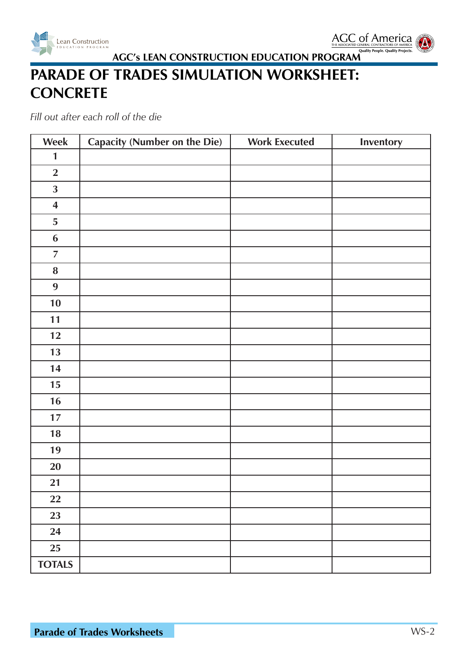



# **PARADE OF TRADES SIMULATION WORKSHEET: CONCRETE**

| Week                    | Capacity (Number on the Die) | <b>Work Executed</b> | Inventory |
|-------------------------|------------------------------|----------------------|-----------|
| $\mathbf{1}$            |                              |                      |           |
| $\overline{2}$          |                              |                      |           |
| $\overline{\mathbf{3}}$ |                              |                      |           |
| $\overline{\mathbf{4}}$ |                              |                      |           |
| 5                       |                              |                      |           |
| $\boldsymbol{6}$        |                              |                      |           |
| $\overline{7}$          |                              |                      |           |
| ${\bf 8}$               |                              |                      |           |
| 9                       |                              |                      |           |
| 10                      |                              |                      |           |
| 11                      |                              |                      |           |
| 12                      |                              |                      |           |
| 13                      |                              |                      |           |
| 14                      |                              |                      |           |
| 15                      |                              |                      |           |
| 16                      |                              |                      |           |
| 17                      |                              |                      |           |
| 18                      |                              |                      |           |
| 19                      |                              |                      |           |
| 20                      |                              |                      |           |
| 21                      |                              |                      |           |
| 22                      |                              |                      |           |
| 23                      |                              |                      |           |
| 24                      |                              |                      |           |
| 25                      |                              |                      |           |
| <b>TOTALS</b>           |                              |                      |           |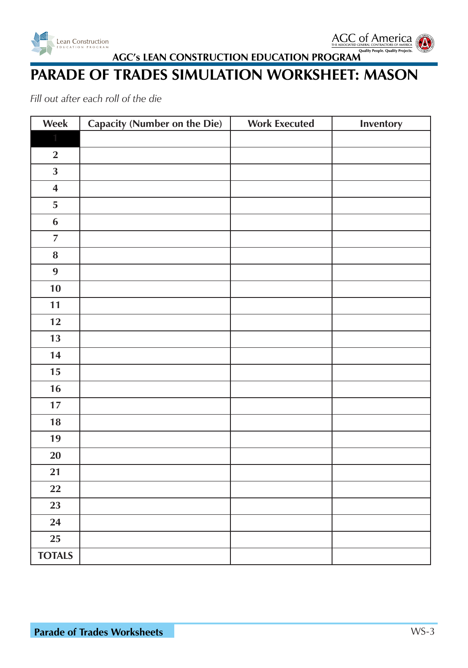



## **PARADE OF TRADES SIMULATION WORKSHEET: MASON**

| Week                    | <b>Capacity (Number on the Die)</b> | <b>Work Executed</b> | Inventory |
|-------------------------|-------------------------------------|----------------------|-----------|
|                         |                                     |                      |           |
| $\overline{2}$          |                                     |                      |           |
| $\overline{\mathbf{3}}$ |                                     |                      |           |
| $\overline{\mathbf{4}}$ |                                     |                      |           |
| $\overline{5}$          |                                     |                      |           |
| $\boldsymbol{6}$        |                                     |                      |           |
| $\overline{7}$          |                                     |                      |           |
| ${\bf 8}$               |                                     |                      |           |
| $\boldsymbol{9}$        |                                     |                      |           |
| 10                      |                                     |                      |           |
| 11                      |                                     |                      |           |
| 12                      |                                     |                      |           |
| 13                      |                                     |                      |           |
| 14                      |                                     |                      |           |
| $15\,$                  |                                     |                      |           |
| 16                      |                                     |                      |           |
| $17\,$                  |                                     |                      |           |
| 18                      |                                     |                      |           |
| 19                      |                                     |                      |           |
| 20                      |                                     |                      |           |
| 21                      |                                     |                      |           |
| 22                      |                                     |                      |           |
| 23                      |                                     |                      |           |
| 24                      |                                     |                      |           |
| 25                      |                                     |                      |           |
| <b>TOTALS</b>           |                                     |                      |           |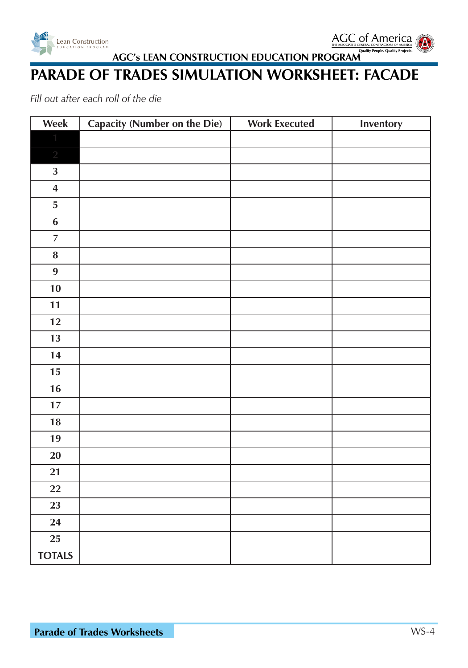



#### **PARADE OF TRADES SIMULATION WORKSHEET: FACADE**

| Week                    | <b>Capacity (Number on the Die)</b> | <b>Work Executed</b> | Inventory |
|-------------------------|-------------------------------------|----------------------|-----------|
|                         |                                     |                      |           |
| $\overline{2}$          |                                     |                      |           |
| $\mathbf{3}$            |                                     |                      |           |
| $\overline{\mathbf{4}}$ |                                     |                      |           |
| ${\bf 5}$               |                                     |                      |           |
| $\boldsymbol{6}$        |                                     |                      |           |
| $\overline{7}$          |                                     |                      |           |
| ${\bf 8}$               |                                     |                      |           |
| 9                       |                                     |                      |           |
| 10                      |                                     |                      |           |
| 11                      |                                     |                      |           |
| 12                      |                                     |                      |           |
| 13                      |                                     |                      |           |
| 14                      |                                     |                      |           |
| 15                      |                                     |                      |           |
| 16                      |                                     |                      |           |
| $17$                    |                                     |                      |           |
| $18\,$                  |                                     |                      |           |
| 19                      |                                     |                      |           |
| 20                      |                                     |                      |           |
| 21                      |                                     |                      |           |
| 22                      |                                     |                      |           |
| 23                      |                                     |                      |           |
| 24                      |                                     |                      |           |
| <b>25</b>               |                                     |                      |           |
| <b>TOTALS</b>           |                                     |                      |           |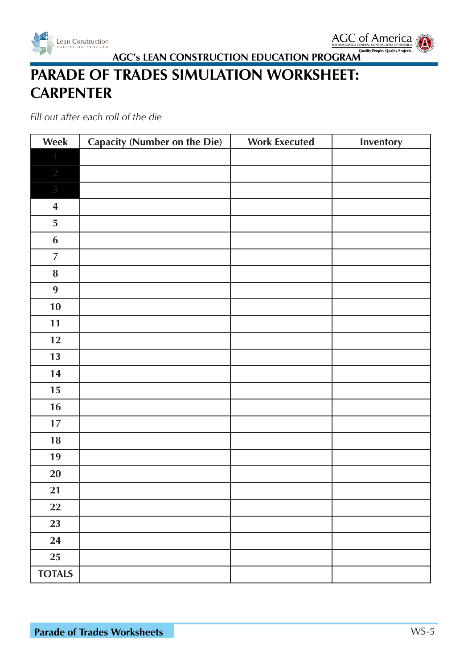



# **PARADE OF TRADES SIMULATION WORKSHEET: CARPENTER**

| Week                    | <b>Capacity (Number on the Die)</b> | <b>Work Executed</b> | Inventory |
|-------------------------|-------------------------------------|----------------------|-----------|
| 1                       |                                     |                      |           |
| $\sqrt{2}$              |                                     |                      |           |
| $\overline{3}$          |                                     |                      |           |
| $\overline{\mathbf{4}}$ |                                     |                      |           |
| 5                       |                                     |                      |           |
| $\boldsymbol{6}$        |                                     |                      |           |
| $\overline{7}$          |                                     |                      |           |
| ${\bf 8}$               |                                     |                      |           |
| $\boldsymbol{9}$        |                                     |                      |           |
| 10                      |                                     |                      |           |
| 11                      |                                     |                      |           |
| 12                      |                                     |                      |           |
| 13                      |                                     |                      |           |
| 14                      |                                     |                      |           |
| $15\,$                  |                                     |                      |           |
| 16                      |                                     |                      |           |
| 17                      |                                     |                      |           |
| 18                      |                                     |                      |           |
| 19                      |                                     |                      |           |
| 20                      |                                     |                      |           |
| 21                      |                                     |                      |           |
| 22                      |                                     |                      |           |
| 23                      |                                     |                      |           |
| 24                      |                                     |                      |           |
| 25                      |                                     |                      |           |
| <b>TOTALS</b>           |                                     |                      |           |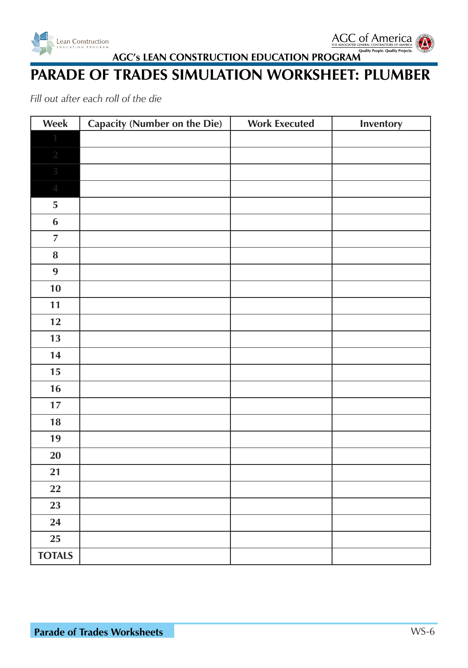



#### **PARADE OF TRADES SIMULATION WORKSHEET: PLUMBER**

| Week             | <b>Capacity (Number on the Die)</b> | <b>Work Executed</b> | Inventory |
|------------------|-------------------------------------|----------------------|-----------|
|                  |                                     |                      |           |
| $\sqrt{2}$       |                                     |                      |           |
| $\sqrt{3}$       |                                     |                      |           |
| $\overline{4}$   |                                     |                      |           |
| ${\bf 5}$        |                                     |                      |           |
| $\boldsymbol{6}$ |                                     |                      |           |
| $\overline{7}$   |                                     |                      |           |
| ${\bf 8}$        |                                     |                      |           |
| 9                |                                     |                      |           |
| 10               |                                     |                      |           |
| 11               |                                     |                      |           |
| 12               |                                     |                      |           |
| 13               |                                     |                      |           |
| 14               |                                     |                      |           |
| 15               |                                     |                      |           |
| 16               |                                     |                      |           |
| $17$             |                                     |                      |           |
| $18\,$           |                                     |                      |           |
| 19               |                                     |                      |           |
| 20               |                                     |                      |           |
| 21               |                                     |                      |           |
| 22               |                                     |                      |           |
| 23               |                                     |                      |           |
| 24               |                                     |                      |           |
| <b>25</b>        |                                     |                      |           |
| <b>TOTALS</b>    |                                     |                      |           |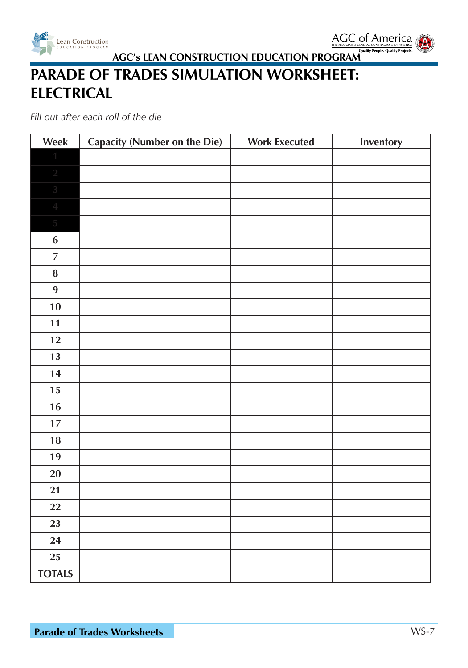



# **PARADE OF TRADES SIMULATION WORKSHEET: ELECTRICAL**

| Week                     | <b>Capacity (Number on the Die)</b> | <b>Work Executed</b> | Inventory |
|--------------------------|-------------------------------------|----------------------|-----------|
|                          |                                     |                      |           |
| $\sqrt{2}$               |                                     |                      |           |
| $\sqrt{3}$               |                                     |                      |           |
| $\overline{\mathcal{A}}$ |                                     |                      |           |
| $\overline{5}$           |                                     |                      |           |
| $\boldsymbol{6}$         |                                     |                      |           |
| $\overline{7}$           |                                     |                      |           |
| ${\bf 8}$                |                                     |                      |           |
| 9                        |                                     |                      |           |
| 10                       |                                     |                      |           |
| 11                       |                                     |                      |           |
| 12                       |                                     |                      |           |
| 13                       |                                     |                      |           |
| 14                       |                                     |                      |           |
| $15\,$                   |                                     |                      |           |
| 16                       |                                     |                      |           |
| 17                       |                                     |                      |           |
| 18                       |                                     |                      |           |
| 19                       |                                     |                      |           |
| 20                       |                                     |                      |           |
| 21                       |                                     |                      |           |
| 22                       |                                     |                      |           |
| 23                       |                                     |                      |           |
| 24                       |                                     |                      |           |
| 25                       |                                     |                      |           |
| <b>TOTALS</b>            |                                     |                      |           |